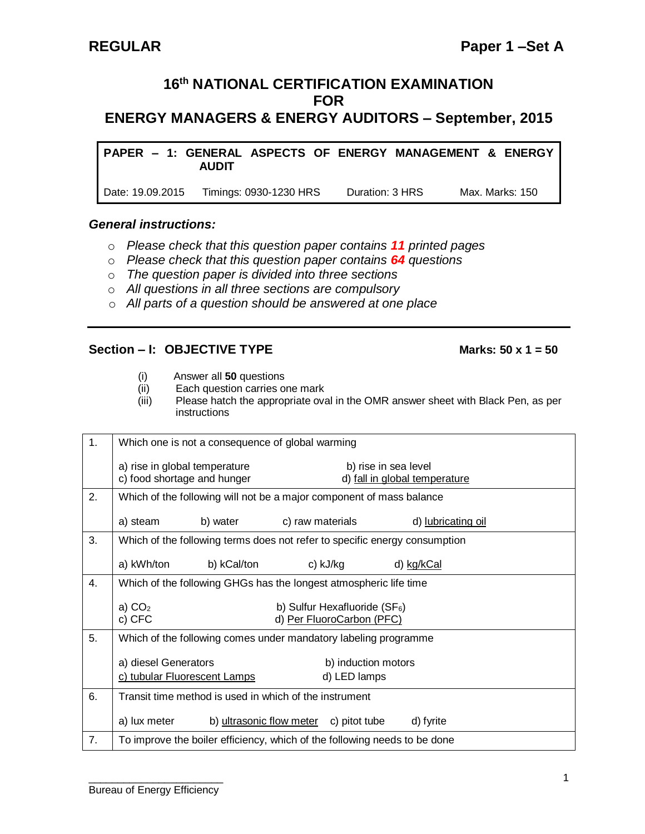# **16 th NATIONAL CERTIFICATION EXAMINATION FOR**

**ENERGY MANAGERS & ENERGY AUDITORS – September, 2015**

**PAPER – 1: GENERAL ASPECTS OF ENERGY MANAGEMENT & ENERGY AUDIT**

Date: 19.09.2015 Timings: 0930-1230 HRS Duration: 3 HRS Max. Marks: 150

### *General instructions:*

- o *Please check that this question paper contains 11 printed pages*
- o *Please check that this question paper contains 64 questions*
- o *The question paper is divided into three sections*
- o *All questions in all three sections are compulsory*
- o *All parts of a question should be answered at one place*

# **Section – I: OBJECTIVE TYPE Marks: 50 x 1 = 50**

- 
- (i) Answer all **50** questions Each question carries one mark
- (iii) Please hatch the appropriate oval in the OMR answer sheet with Black Pen, as per instructions

| 1. | Which one is not a consequence of global warming                                            |                                                       |                    |  |  |  |  |
|----|---------------------------------------------------------------------------------------------|-------------------------------------------------------|--------------------|--|--|--|--|
|    | a) rise in global temperature<br>c) food shortage and hunger                                | b) rise in sea level<br>d) fall in global temperature |                    |  |  |  |  |
| 2. | Which of the following will not be a major component of mass balance                        |                                                       |                    |  |  |  |  |
|    | a) steam<br>b) water                                                                        | c) raw materials                                      | d) lubricating oil |  |  |  |  |
| 3. | Which of the following terms does not refer to specific energy consumption                  |                                                       |                    |  |  |  |  |
|    | a) kWh/ton<br>b) kCal/ton                                                                   | c) kJ/kg                                              | d) kg/kCal         |  |  |  |  |
| 4. | Which of the following GHGs has the longest atmospheric life time                           |                                                       |                    |  |  |  |  |
|    | a) $CO2$<br>b) Sulfur Hexafluoride ( $SF_6$ )<br>c) CFC<br>d) Per FluoroCarbon (PFC)        |                                                       |                    |  |  |  |  |
| 5. | Which of the following comes under mandatory labeling programme                             |                                                       |                    |  |  |  |  |
|    | a) diesel Generators<br>b) induction motors<br>c) tubular Fluorescent Lamps<br>d) LED lamps |                                                       |                    |  |  |  |  |
| 6. | Transit time method is used in which of the instrument                                      |                                                       |                    |  |  |  |  |
|    | a) lux meter                                                                                | b) ultrasonic flow meter<br>c) pitot tube             | d) fyrite          |  |  |  |  |
| 7. | To improve the boiler efficiency, which of the following needs to be done                   |                                                       |                    |  |  |  |  |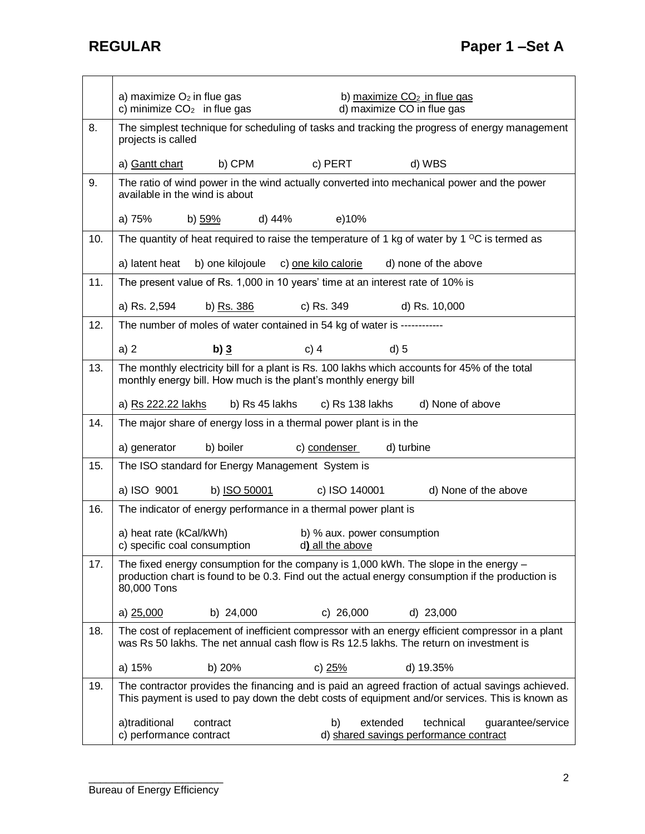j.

|     | a) maximize $O2$ in flue gas<br>b) maximize $CO2$ in flue gas<br>c) minimize $CO2$ in flue gas<br>d) maximize CO in flue gas                                                                              |  |  |  |  |
|-----|-----------------------------------------------------------------------------------------------------------------------------------------------------------------------------------------------------------|--|--|--|--|
| 8.  | The simplest technique for scheduling of tasks and tracking the progress of energy management<br>projects is called                                                                                       |  |  |  |  |
|     | c) PERT<br>a) Gantt chart<br>b) CPM<br>d) WBS                                                                                                                                                             |  |  |  |  |
| 9.  | The ratio of wind power in the wind actually converted into mechanical power and the power<br>available in the wind is about                                                                              |  |  |  |  |
|     | a) 75%<br>d) 44%<br>e)10%<br>b) 59%                                                                                                                                                                       |  |  |  |  |
| 10. | The quantity of heat required to raise the temperature of 1 kg of water by 1 $\mathrm{^{\circ}C}$ is termed as                                                                                            |  |  |  |  |
|     | a) latent heat<br>b) one kilojoule<br>c) one kilo calorie<br>d) none of the above                                                                                                                         |  |  |  |  |
| 11. | The present value of Rs. 1,000 in 10 years' time at an interest rate of 10% is                                                                                                                            |  |  |  |  |
|     | a) Rs. 2,594<br>c) Rs. 349<br>b) Rs. 386<br>d) Rs. 10,000                                                                                                                                                 |  |  |  |  |
| 12. | The number of moles of water contained in 54 kg of water is ------------                                                                                                                                  |  |  |  |  |
|     | $c)$ 4<br>$d$ ) 5<br>a) 2<br>b) $3$                                                                                                                                                                       |  |  |  |  |
| 13. | The monthly electricity bill for a plant is Rs. 100 lakhs which accounts for 45% of the total<br>monthly energy bill. How much is the plant's monthly energy bill                                         |  |  |  |  |
|     | a) Rs 222.22 lakhs<br>b) Rs 45 lakhs<br>c) Rs 138 lakhs<br>d) None of above                                                                                                                               |  |  |  |  |
| 14. | The major share of energy loss in a thermal power plant is in the                                                                                                                                         |  |  |  |  |
|     | a) generator<br>b) boiler<br>c) condenser<br>d) turbine                                                                                                                                                   |  |  |  |  |
| 15. | The ISO standard for Energy Management System is                                                                                                                                                          |  |  |  |  |
|     | a) ISO 9001<br>b) ISO 50001<br>c) ISO 140001<br>d) None of the above                                                                                                                                      |  |  |  |  |
| 16. | The indicator of energy performance in a thermal power plant is                                                                                                                                           |  |  |  |  |
|     | a) heat rate (kCal/kWh)<br>b) % aux. power consumption<br>c) specific coal consumption<br>d) all the above                                                                                                |  |  |  |  |
| 17. | The fixed energy consumption for the company is 1,000 kWh. The slope in the energy $-$<br>production chart is found to be 0.3. Find out the actual energy consumption if the production is<br>80,000 Tons |  |  |  |  |
|     | b) 24,000<br>c) $26,000$<br>d) 23,000<br>a) 25,000                                                                                                                                                        |  |  |  |  |
| 18. | The cost of replacement of inefficient compressor with an energy efficient compressor in a plant<br>was Rs 50 lakhs. The net annual cash flow is Rs 12.5 lakhs. The return on investment is               |  |  |  |  |
|     | a) 15%<br>b) 20%<br>c) 25%<br>d) 19.35%                                                                                                                                                                   |  |  |  |  |
| 19. | The contractor provides the financing and is paid an agreed fraction of actual savings achieved.<br>This payment is used to pay down the debt costs of equipment and/or services. This is known as        |  |  |  |  |
|     | a)traditional<br>b)<br>extended<br>technical<br>guarantee/service<br>contract<br>c) performance contract<br>d) shared savings performance contract                                                        |  |  |  |  |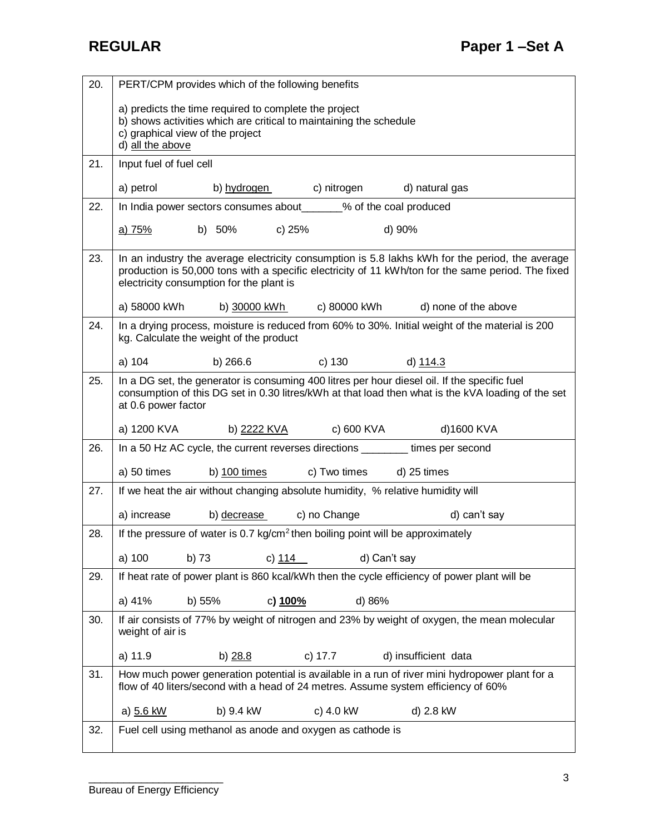| 20. | PERT/CPM provides which of the following benefits                                                                                                                                                                                                 |  |  |  |  |
|-----|---------------------------------------------------------------------------------------------------------------------------------------------------------------------------------------------------------------------------------------------------|--|--|--|--|
|     | a) predicts the time required to complete the project<br>b) shows activities which are critical to maintaining the schedule<br>c) graphical view of the project<br>d) all the above                                                               |  |  |  |  |
| 21. | Input fuel of fuel cell                                                                                                                                                                                                                           |  |  |  |  |
|     | a) petrol<br>b) hydrogen c) nitrogen<br>d) natural gas                                                                                                                                                                                            |  |  |  |  |
| 22. | In India power sectors consumes about______% of the coal produced                                                                                                                                                                                 |  |  |  |  |
|     | d) 90%<br>b) 50% c) 25%<br><u>a) 75%</u>                                                                                                                                                                                                          |  |  |  |  |
| 23. | In an industry the average electricity consumption is 5.8 lakhs kWh for the period, the average<br>production is 50,000 tons with a specific electricity of 11 kWh/ton for the same period. The fixed<br>electricity consumption for the plant is |  |  |  |  |
|     | a) 58000 kWh<br>c) 80000 kWh<br>d) none of the above<br>b) <u>30000 kWh</u>                                                                                                                                                                       |  |  |  |  |
| 24. | In a drying process, moisture is reduced from 60% to 30%. Initial weight of the material is 200<br>kg. Calculate the weight of the product                                                                                                        |  |  |  |  |
|     | a) 104<br>b) 266.6<br>c) 130<br>d) 114.3                                                                                                                                                                                                          |  |  |  |  |
| 25. | In a DG set, the generator is consuming 400 litres per hour diesel oil. If the specific fuel<br>consumption of this DG set in 0.30 litres/kWh at that load then what is the kVA loading of the set<br>at 0.6 power factor                         |  |  |  |  |
|     | a) 1200 KVA<br>b) 2 <u>222 KVA</u><br>c) 600 KVA<br>d)1600 KVA                                                                                                                                                                                    |  |  |  |  |
| 26. | In a 50 Hz AC cycle, the current reverses directions _________ times per second                                                                                                                                                                   |  |  |  |  |
|     | a) 50 times<br>b) $100$ times<br>c) Two times<br>d) 25 times                                                                                                                                                                                      |  |  |  |  |
| 27. | If we heat the air without changing absolute humidity, % relative humidity will                                                                                                                                                                   |  |  |  |  |
|     | b) decrease<br>c) no Change<br>a) increase<br>d) can't say                                                                                                                                                                                        |  |  |  |  |
| 28. | If the pressure of water is 0.7 $kg/cm2$ then boiling point will be approximately                                                                                                                                                                 |  |  |  |  |
|     | a) 100<br>d) Can't say<br>b) 73<br>c) $114$                                                                                                                                                                                                       |  |  |  |  |
| 29. | If heat rate of power plant is 860 kcal/kWh then the cycle efficiency of power plant will be                                                                                                                                                      |  |  |  |  |
|     | a) 41%<br>b) 55%<br>c) 100%<br>d) 86%                                                                                                                                                                                                             |  |  |  |  |
| 30. | If air consists of 77% by weight of nitrogen and 23% by weight of oxygen, the mean molecular<br>weight of air is                                                                                                                                  |  |  |  |  |
|     | a) 11.9<br>c) 17.7<br>d) insufficient data<br>b) $28.8$                                                                                                                                                                                           |  |  |  |  |
| 31. | How much power generation potential is available in a run of river mini hydropower plant for a<br>flow of 40 liters/second with a head of 24 metres. Assume system efficiency of 60%                                                              |  |  |  |  |
|     | b) 9.4 kW<br>c) 4.0 kW<br>a) 5.6 kW<br>d) 2.8 kW                                                                                                                                                                                                  |  |  |  |  |
| 32. | Fuel cell using methanol as anode and oxygen as cathode is                                                                                                                                                                                        |  |  |  |  |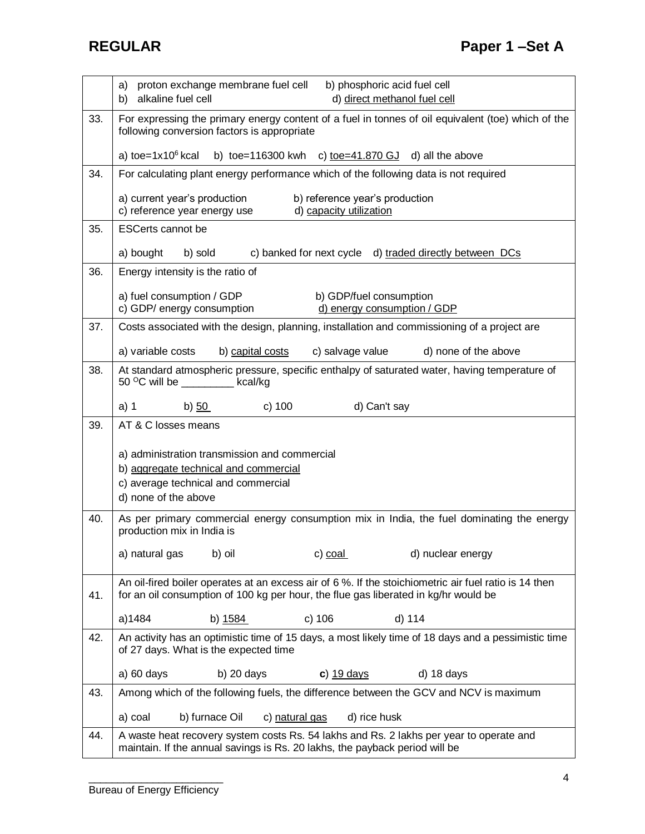|     | proton exchange membrane fuel cell<br>b) phosphoric acid fuel cell<br>a)<br>alkaline fuel cell<br>d) direct methanol fuel cell<br>b)                                                         |
|-----|----------------------------------------------------------------------------------------------------------------------------------------------------------------------------------------------|
| 33. | For expressing the primary energy content of a fuel in tonnes of oil equivalent (toe) which of the<br>following conversion factors is appropriate                                            |
|     | a) toe= $1x10^6$ kcal<br>b) toe=116300 kwh c) toe=41.870 GJ d) all the above                                                                                                                 |
| 34. | For calculating plant energy performance which of the following data is not required                                                                                                         |
|     | a) current year's production<br>b) reference year's production<br>c) reference year energy use<br>d) capacity utilization                                                                    |
| 35. | <b>ESCerts cannot be</b>                                                                                                                                                                     |
|     | a) bought<br>b) sold<br>c) banked for next cycle d) traded directly between DCs                                                                                                              |
| 36. | Energy intensity is the ratio of                                                                                                                                                             |
|     | a) fuel consumption / GDP<br>b) GDP/fuel consumption<br>c) GDP/ energy consumption<br>d) energy consumption / GDP                                                                            |
| 37. | Costs associated with the design, planning, installation and commissioning of a project are                                                                                                  |
|     | a) variable costs<br>b) capital costs<br>c) salvage value<br>d) none of the above                                                                                                            |
| 38. | At standard atmospheric pressure, specific enthalpy of saturated water, having temperature of<br>50 °C will be _________ kcal/kg                                                             |
|     | c) 100<br>a) 1<br>d) Can't say<br>b) 50                                                                                                                                                      |
| 39. | AT & C losses means                                                                                                                                                                          |
|     | a) administration transmission and commercial                                                                                                                                                |
|     | b) aggregate technical and commercial<br>c) average technical and commercial                                                                                                                 |
|     | d) none of the above                                                                                                                                                                         |
| 40. | As per primary commercial energy consumption mix in India, the fuel dominating the energy<br>production mix in India is                                                                      |
|     | a) natural gas<br>c) coal<br>b) oil<br>d) nuclear energy                                                                                                                                     |
|     | An oil-fired boiler operates at an excess air of 6 %. If the stoichiometric air fuel ratio is 14 then<br>for an oil consumption of 100 kg per hour, the flue gas liberated in kg/hr would be |
| 41. |                                                                                                                                                                                              |
|     |                                                                                                                                                                                              |
|     | a)1484<br>b) 1584<br>c) 106<br>d) 114                                                                                                                                                        |
| 42. | An activity has an optimistic time of 15 days, a most likely time of 18 days and a pessimistic time<br>of 27 days. What is the expected time                                                 |
|     | a) 60 days<br>$b)$ 20 days<br>d) 18 days<br>$c)$ 19 days                                                                                                                                     |
| 43. | Among which of the following fuels, the difference between the GCV and NCV is maximum                                                                                                        |
|     | b) furnace Oil<br>d) rice husk<br>a) coal<br>c) natural gas                                                                                                                                  |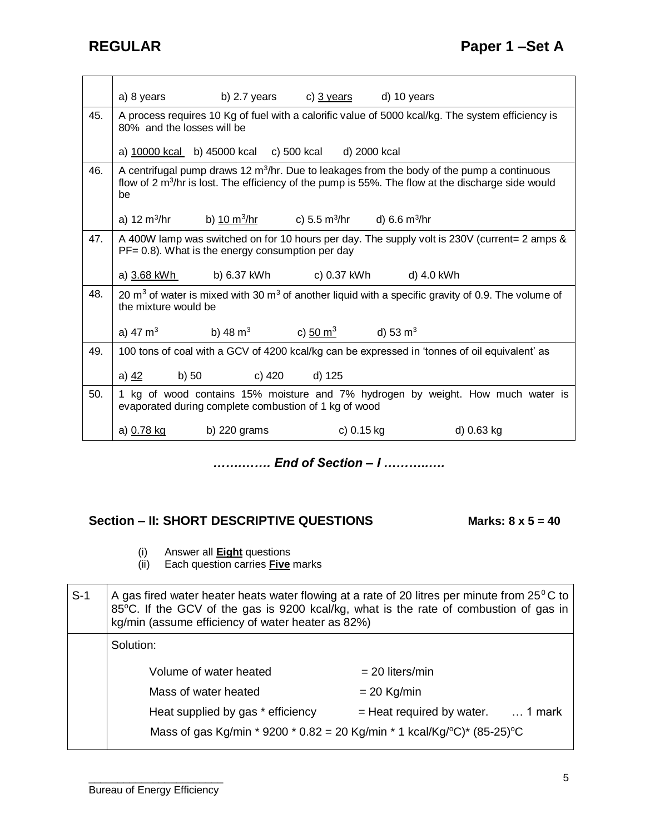|     | a) 8 years           |                                                                                                            | b) 2.7 years c) $\frac{3 \text{ years}}{2 \text{ years}}$ | d) 10 years |                                                                                                                                                                                                               |
|-----|----------------------|------------------------------------------------------------------------------------------------------------|-----------------------------------------------------------|-------------|---------------------------------------------------------------------------------------------------------------------------------------------------------------------------------------------------------------|
| 45. |                      | 80% and the losses will be                                                                                 |                                                           |             | A process requires 10 Kg of fuel with a calorific value of 5000 kcal/kg. The system efficiency is                                                                                                             |
|     |                      | a) 10000 kcal b) 45000 kcal c) 500 kcal d) 2000 kcal                                                       |                                                           |             |                                                                                                                                                                                                               |
| 46. | be                   |                                                                                                            |                                                           |             | A centrifugal pump draws 12 $m^3$ /hr. Due to leakages from the body of the pump a continuous<br>flow of $2 \text{ m}^3$ /hr is lost. The efficiency of the pump is 55%. The flow at the discharge side would |
|     |                      | a) 12 m <sup>3</sup> /hr b) <u>10 m<sup>3</sup>/hr</u> c) 5.5 m <sup>3</sup> /hr d) 6.6 m <sup>3</sup> /hr |                                                           |             |                                                                                                                                                                                                               |
| 47. |                      | $PF = 0.8$ ). What is the energy consumption per day                                                       |                                                           |             | A 400W lamp was switched on for 10 hours per day. The supply volt is 230V (current= 2 amps &                                                                                                                  |
|     | a) 3.68 kWh          |                                                                                                            | b) 6.37 kWh c) 0.37 kWh d) 4.0 kWh                        |             |                                                                                                                                                                                                               |
| 48. | the mixture would be |                                                                                                            |                                                           |             | 20 $m3$ of water is mixed with 30 $m3$ of another liquid with a specific gravity of 0.9. The volume of                                                                                                        |
|     | a) 47 $m3$           | b) 48 m <sup>3</sup> c) $\frac{50 \text{ m}^3}{2}$ d) 53 m <sup>3</sup>                                    |                                                           |             |                                                                                                                                                                                                               |
| 49. |                      |                                                                                                            |                                                           |             | 100 tons of coal with a GCV of 4200 kcal/kg can be expressed in 'tonnes of oil equivalent' as                                                                                                                 |
|     | a) <u>42</u>         | b) 50                                                                                                      | c) 420<br>d) 125                                          |             |                                                                                                                                                                                                               |
| 50. |                      | evaporated during complete combustion of 1 kg of wood                                                      |                                                           |             | 1 kg of wood contains 15% moisture and 7% hydrogen by weight. How much water is                                                                                                                               |
|     | a) 0.78 kg           | b) 220 grams                                                                                               |                                                           | c) 0.15 kg  | d) 0.63 kg                                                                                                                                                                                                    |

*…….……. End of Section – I ………..….*

# **Section – II: SHORT DESCRIPTIVE QUESTIONS Marks: 8 x 5 = 40**

- (i) Answer all **Eight** questions
- (ii) Each question carries **Five** marks

| $S-1$ | A gas fired water heater heats water flowing at a rate of 20 litres per minute from $25^{\circ}$ C to<br>85°C. If the GCV of the gas is 9200 kcal/kg, what is the rate of combustion of gas in<br>kg/min (assume efficiency of water heater as 82%) |                                             |  |  |  |
|-------|-----------------------------------------------------------------------------------------------------------------------------------------------------------------------------------------------------------------------------------------------------|---------------------------------------------|--|--|--|
|       | Solution:                                                                                                                                                                                                                                           |                                             |  |  |  |
|       | Volume of water heated                                                                                                                                                                                                                              | $= 20$ liters/min                           |  |  |  |
|       | Mass of water heated                                                                                                                                                                                                                                | $= 20$ Kg/min                               |  |  |  |
|       | Heat supplied by gas * efficiency                                                                                                                                                                                                                   | $=$ Heat required by water. $\ldots$ 1 mark |  |  |  |
|       | Mass of gas Kg/min * 9200 * 0.82 = 20 Kg/min * 1 kcal/Kg/°C)* (85-25)°C                                                                                                                                                                             |                                             |  |  |  |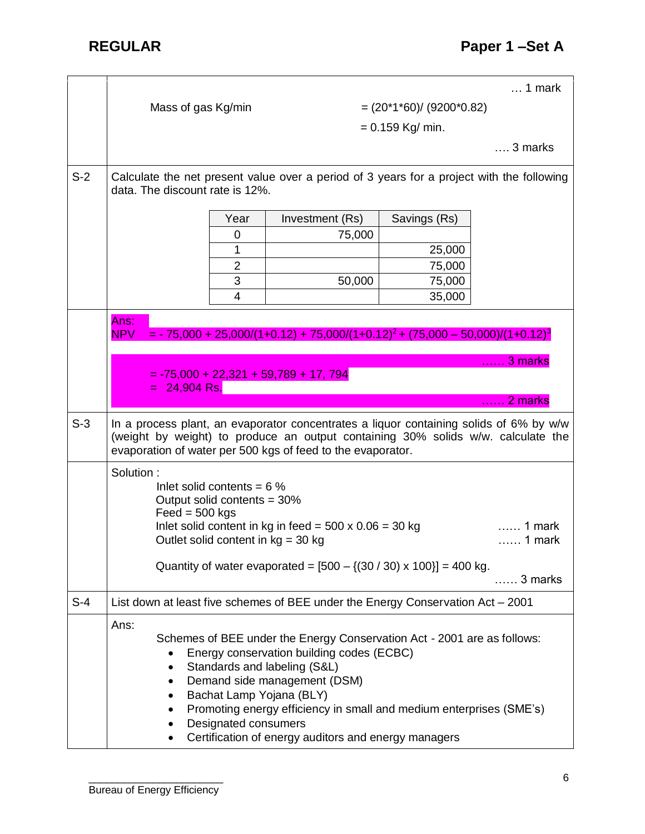|       |                                                                                                                                                                                                                                                                                                                                                                                      |                                                                                                                                                   |                          | $\dots$ 1 mark                          |  |
|-------|--------------------------------------------------------------------------------------------------------------------------------------------------------------------------------------------------------------------------------------------------------------------------------------------------------------------------------------------------------------------------------------|---------------------------------------------------------------------------------------------------------------------------------------------------|--------------------------|-----------------------------------------|--|
|       | Mass of gas Kg/min                                                                                                                                                                                                                                                                                                                                                                   |                                                                                                                                                   | $=(20*1*60)/(9200*0.82)$ |                                         |  |
|       |                                                                                                                                                                                                                                                                                                                                                                                      |                                                                                                                                                   | $= 0.159$ Kg/ min.       |                                         |  |
|       |                                                                                                                                                                                                                                                                                                                                                                                      |                                                                                                                                                   |                          | 3 marks                                 |  |
|       |                                                                                                                                                                                                                                                                                                                                                                                      |                                                                                                                                                   |                          |                                         |  |
| $S-2$ | data. The discount rate is 12%.                                                                                                                                                                                                                                                                                                                                                      | Calculate the net present value over a period of 3 years for a project with the following                                                         |                          |                                         |  |
|       | Year                                                                                                                                                                                                                                                                                                                                                                                 | Investment (Rs)                                                                                                                                   | Savings (Rs)             |                                         |  |
|       | 0                                                                                                                                                                                                                                                                                                                                                                                    | 75,000                                                                                                                                            |                          |                                         |  |
|       | 1                                                                                                                                                                                                                                                                                                                                                                                    |                                                                                                                                                   | 25,000                   |                                         |  |
|       | $\overline{2}$                                                                                                                                                                                                                                                                                                                                                                       |                                                                                                                                                   | 75,000                   |                                         |  |
|       | 3                                                                                                                                                                                                                                                                                                                                                                                    | 50,000                                                                                                                                            | 75,000                   |                                         |  |
|       | $\overline{4}$                                                                                                                                                                                                                                                                                                                                                                       |                                                                                                                                                   | 35,000                   |                                         |  |
|       | Ans:<br><b>NPV</b><br>24,904 Rs.                                                                                                                                                                                                                                                                                                                                                     | $=$ - 75,000 + 25,000/(1+0.12) + 75,000/(1+0.12) <sup>2</sup> + (75,000 - 50,000)/(1+0.12) <sup>3</sup><br>$= -75,000 + 22,321 + 59,789 + 17,794$ |                          | 3 marks<br>2 marks<br><b>The County</b> |  |
| $S-3$ | In a process plant, an evaporator concentrates a liquor containing solids of 6% by w/w<br>(weight by weight) to produce an output containing 30% solids w/w. calculate the<br>evaporation of water per 500 kgs of feed to the evaporator.                                                                                                                                            |                                                                                                                                                   |                          |                                         |  |
|       | Solution:<br>Inlet solid contents = $6\%$<br>Output solid contents = 30%<br>$\text{Feed} = 500 \text{ kgs}$<br>Inlet solid content in kg in feed = $500 \times 0.06 = 30$ kg<br>…… 1 mark<br>Outlet solid content in $kg = 30$ kg<br>1 mark<br>Quantity of water evaporated = $[500 - \{(30 / 30) \times 100\}] = 400$ kg.                                                           |                                                                                                                                                   |                          |                                         |  |
|       |                                                                                                                                                                                                                                                                                                                                                                                      |                                                                                                                                                   |                          | 3 marks                                 |  |
| $S-4$ |                                                                                                                                                                                                                                                                                                                                                                                      | List down at least five schemes of BEE under the Energy Conservation Act - 2001                                                                   |                          |                                         |  |
|       | Ans:<br>Schemes of BEE under the Energy Conservation Act - 2001 are as follows:<br>Energy conservation building codes (ECBC)<br>Standards and labeling (S&L)<br>٠<br>Demand side management (DSM)<br>Bachat Lamp Yojana (BLY)<br>Promoting energy efficiency in small and medium enterprises (SME's)<br>Designated consumers<br>Certification of energy auditors and energy managers |                                                                                                                                                   |                          |                                         |  |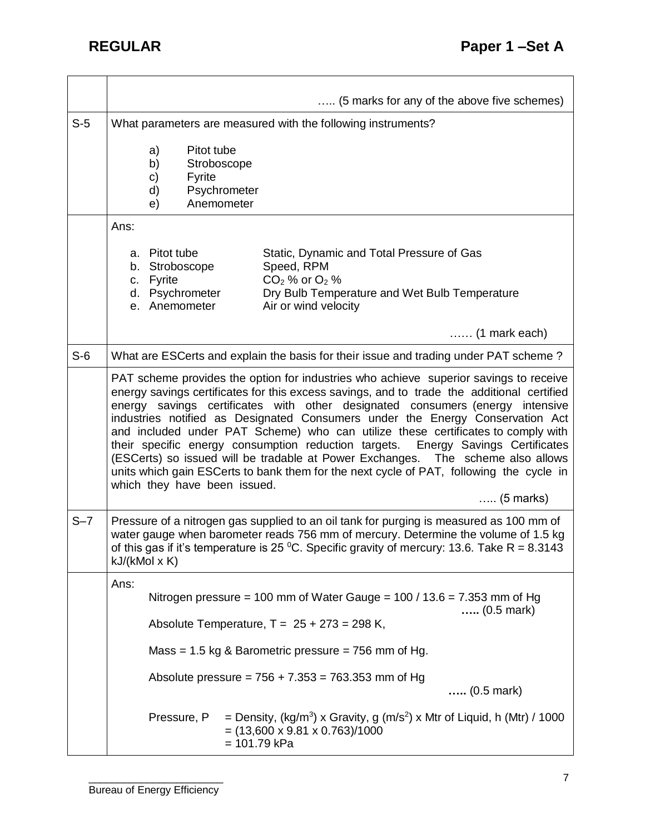|         |                                                                                                                                                 | (5 marks for any of the above five schemes)                                                                                                                                                                                                                                                                                                                                                                                                                                                                                                                                                                                                                                                                                          |  |  |  |
|---------|-------------------------------------------------------------------------------------------------------------------------------------------------|--------------------------------------------------------------------------------------------------------------------------------------------------------------------------------------------------------------------------------------------------------------------------------------------------------------------------------------------------------------------------------------------------------------------------------------------------------------------------------------------------------------------------------------------------------------------------------------------------------------------------------------------------------------------------------------------------------------------------------------|--|--|--|
| $S-5$   | What parameters are measured with the following instruments?                                                                                    |                                                                                                                                                                                                                                                                                                                                                                                                                                                                                                                                                                                                                                                                                                                                      |  |  |  |
|         | Pitot tube<br>a)<br>b)<br>c)<br><b>Fyrite</b><br>d)<br>e)                                                                                       | Stroboscope<br>Psychrometer<br>Anemometer                                                                                                                                                                                                                                                                                                                                                                                                                                                                                                                                                                                                                                                                                            |  |  |  |
|         | Ans:                                                                                                                                            |                                                                                                                                                                                                                                                                                                                                                                                                                                                                                                                                                                                                                                                                                                                                      |  |  |  |
|         | a. Pitot tube<br>b. Stroboscope<br>Fyrite<br>C.<br>d. Psychrometer<br>e. Anemometer                                                             | Static, Dynamic and Total Pressure of Gas<br>Speed, RPM<br>$CO2$ % or $O2$ %<br>Dry Bulb Temperature and Wet Bulb Temperature<br>Air or wind velocity<br>$\ldots$ (1 mark each)                                                                                                                                                                                                                                                                                                                                                                                                                                                                                                                                                      |  |  |  |
| $S-6$   |                                                                                                                                                 | What are ESCerts and explain the basis for their issue and trading under PAT scheme?                                                                                                                                                                                                                                                                                                                                                                                                                                                                                                                                                                                                                                                 |  |  |  |
|         | which they have been issued.                                                                                                                    | PAT scheme provides the option for industries who achieve superior savings to receive<br>energy savings certificates for this excess savings, and to trade the additional certified<br>energy savings certificates with other designated consumers (energy intensive<br>industries notified as Designated Consumers under the Energy Conservation Act<br>and included under PAT Scheme) who can utilize these certificates to comply with<br>their specific energy consumption reduction targets.<br>Energy Savings Certificates<br>(ESCerts) so issued will be tradable at Power Exchanges. The scheme also allows<br>units which gain ESCerts to bank them for the next cycle of PAT, following the cycle in<br>$\ldots$ (5 marks) |  |  |  |
| $S - 7$ | kJ/(kMol x K)                                                                                                                                   | Pressure of a nitrogen gas supplied to an oil tank for purging is measured as 100 mm of<br>water gauge when barometer reads 756 mm of mercury. Determine the volume of 1.5 kg<br>of this gas if it's temperature is 25 °C. Specific gravity of mercury: 13.6. Take R = 8.3143                                                                                                                                                                                                                                                                                                                                                                                                                                                        |  |  |  |
|         | Ans:                                                                                                                                            | Nitrogen pressure = 100 mm of Water Gauge = $100 / 13.6 = 7.353$ mm of Hg<br>$(0.5 \text{ mark})$                                                                                                                                                                                                                                                                                                                                                                                                                                                                                                                                                                                                                                    |  |  |  |
|         |                                                                                                                                                 | Absolute Temperature, $T = 25 + 273 = 298$ K,                                                                                                                                                                                                                                                                                                                                                                                                                                                                                                                                                                                                                                                                                        |  |  |  |
|         |                                                                                                                                                 | Mass = $1.5$ kg & Barometric pressure = $756$ mm of Hg.                                                                                                                                                                                                                                                                                                                                                                                                                                                                                                                                                                                                                                                                              |  |  |  |
|         |                                                                                                                                                 | Absolute pressure = $756 + 7.353 = 763.353$ mm of Hg<br>$(0.5 \text{ mark})$                                                                                                                                                                                                                                                                                                                                                                                                                                                                                                                                                                                                                                                         |  |  |  |
|         | = Density, $(kg/m^3)$ x Gravity, g $(m/s^2)$ x Mtr of Liquid, h (Mtr) / 1000<br>Pressure, P<br>$=$ (13,600 x 9.81 x 0.763)/1000<br>= 101.79 kPa |                                                                                                                                                                                                                                                                                                                                                                                                                                                                                                                                                                                                                                                                                                                                      |  |  |  |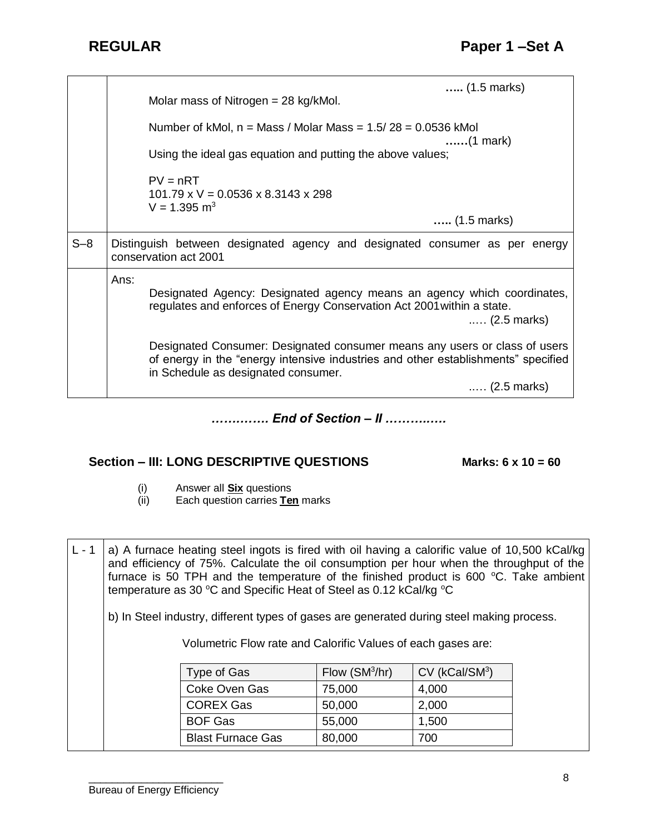|         | $(1.5 \text{ marks})$<br>Molar mass of Nitrogen $=$ 28 kg/kMol.                                                                                                                                        |
|---------|--------------------------------------------------------------------------------------------------------------------------------------------------------------------------------------------------------|
|         | Number of kMol, $n =$ Mass / Molar Mass = $1.5/28 = 0.0536$ kMol<br>(1 mark)                                                                                                                           |
|         | Using the ideal gas equation and putting the above values;                                                                                                                                             |
|         | $PV = nRT$<br>$101.79 \times V = 0.0536 \times 8.3143 \times 298$<br>$V = 1.395$ m <sup>3</sup>                                                                                                        |
|         | $(1.5 \text{ marks})$                                                                                                                                                                                  |
| $S - 8$ | Distinguish between designated agency and designated consumer as per energy<br>conservation act 2001                                                                                                   |
|         | Ans:<br>Designated Agency: Designated agency means an agency which coordinates,<br>regulates and enforces of Energy Conservation Act 2001 within a state.<br>$(2.5 \text{ marks})$                     |
|         | Designated Consumer: Designated consumer means any users or class of users<br>of energy in the "energy intensive industries and other establishments" specified<br>in Schedule as designated consumer. |
|         | $(2.5 \text{ marks})$                                                                                                                                                                                  |

*…….……. End of Section – II ………..….*

### **Section – III: LONG DESCRIPTIVE QUESTIONS Marks: 6 x 10 = 60**

- (i) Answer all **Six** questions
- Each question carries **Ten** marks

L - 1 | a) A furnace heating steel ingots is fired with oil having a calorific value of 10,500 kCal/kg and efficiency of 75%. Calculate the oil consumption per hour when the throughput of the furnace is 50 TPH and the temperature of the finished product is 600  $^{\circ}$ C. Take ambient temperature as 30 °C and Specific Heat of Steel as 0.12 kCal/kg °C

b) In Steel industry, different types of gases are generated during steel making process.

Volumetric Flow rate and Calorific Values of each gases are:

| Type of Gas              | Flow $(SM3/hr)$ | CV (kCal/SM <sup>3</sup> ) |
|--------------------------|-----------------|----------------------------|
| Coke Oven Gas            | 75,000          | 4,000                      |
| <b>COREX Gas</b>         | 50,000          | 2,000                      |
| <b>BOF Gas</b>           | 55,000          | 1,500                      |
| <b>Blast Furnace Gas</b> | 80,000          | 700                        |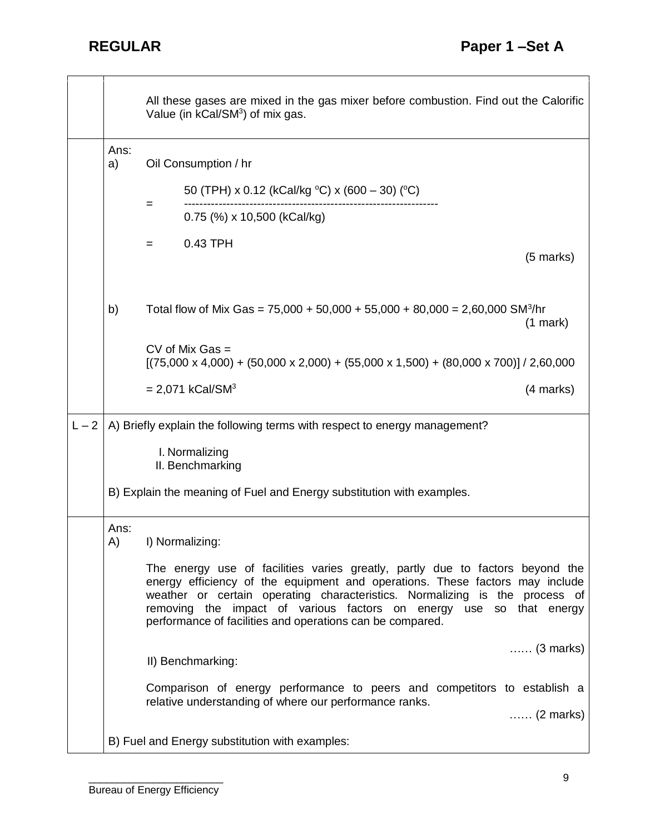|         |            | All these gases are mixed in the gas mixer before combustion. Find out the Calorific<br>Value (in kCal/SM <sup>3</sup> ) of mix gas.                                                                                                                                                                                                                                             |                    |
|---------|------------|----------------------------------------------------------------------------------------------------------------------------------------------------------------------------------------------------------------------------------------------------------------------------------------------------------------------------------------------------------------------------------|--------------------|
|         | Ans:<br>a) | Oil Consumption / hr                                                                                                                                                                                                                                                                                                                                                             |                    |
|         |            | 50 (TPH) x 0.12 (kCal/kg $^{\circ}$ C) x (600 – 30) ( $^{\circ}$ C)                                                                                                                                                                                                                                                                                                              |                    |
|         |            | $=$<br>$0.75$ (%) x 10,500 (kCal/kg)                                                                                                                                                                                                                                                                                                                                             |                    |
|         |            | 0.43 TPH<br>$=$                                                                                                                                                                                                                                                                                                                                                                  |                    |
|         |            |                                                                                                                                                                                                                                                                                                                                                                                  | $(5$ marks)        |
|         | b)         | Total flow of Mix Gas = $75,000 + 50,000 + 55,000 + 80,000 = 2,60,000$ SM <sup>3</sup> /hr                                                                                                                                                                                                                                                                                       | $(1$ mark)         |
|         |            | $CV$ of Mix Gas $=$<br>$[(75,000 \times 4,000) + (50,000 \times 2,000) + (55,000 \times 1,500) + (80,000 \times 700)] / 2,60,000$                                                                                                                                                                                                                                                |                    |
|         |            | $= 2,071$ kCal/SM <sup>3</sup>                                                                                                                                                                                                                                                                                                                                                   | (4 marks)          |
| $L - 2$ |            | A) Briefly explain the following terms with respect to energy management?                                                                                                                                                                                                                                                                                                        |                    |
|         |            | I. Normalizing<br>II. Benchmarking                                                                                                                                                                                                                                                                                                                                               |                    |
|         |            | B) Explain the meaning of Fuel and Energy substitution with examples.                                                                                                                                                                                                                                                                                                            |                    |
|         | Ans:<br>A) | I) Normalizing:                                                                                                                                                                                                                                                                                                                                                                  |                    |
|         |            | The energy use of facilities varies greatly, partly due to factors beyond the<br>energy efficiency of the equipment and operations. These factors may include<br>weather or certain operating characteristics. Normalizing is the process of<br>removing the impact of various factors on energy use so that energy<br>performance of facilities and operations can be compared. |                    |
|         |            | II) Benchmarking:                                                                                                                                                                                                                                                                                                                                                                | $\ldots$ (3 marks) |
|         |            | Comparison of energy performance to peers and competitors to establish a<br>relative understanding of where our performance ranks.                                                                                                                                                                                                                                               |                    |
|         |            |                                                                                                                                                                                                                                                                                                                                                                                  | $\ldots$ (2 marks) |
|         |            | B) Fuel and Energy substitution with examples:                                                                                                                                                                                                                                                                                                                                   |                    |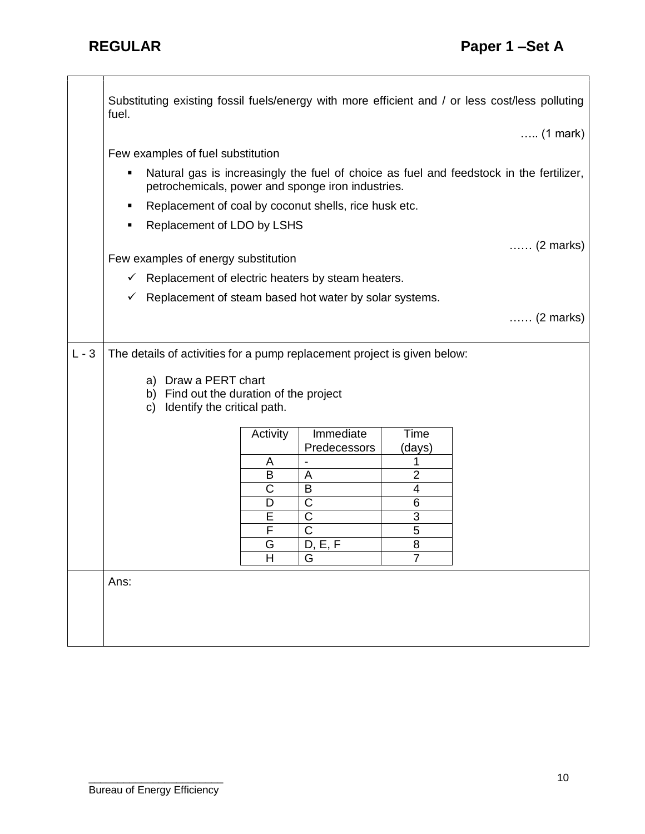┑

|         | Substituting existing fossil fuels/energy with more efficient and / or less cost/less polluting      |          |                  |                         |                                                                                         |
|---------|------------------------------------------------------------------------------------------------------|----------|------------------|-------------------------|-----------------------------------------------------------------------------------------|
|         | fuel.                                                                                                |          |                  |                         | $\ldots$ (1 mark)                                                                       |
|         | Few examples of fuel substitution                                                                    |          |                  |                         |                                                                                         |
|         | П<br>petrochemicals, power and sponge iron industries.                                               |          |                  |                         | Natural gas is increasingly the fuel of choice as fuel and feedstock in the fertilizer, |
|         | Replacement of coal by coconut shells, rice husk etc.<br>٠                                           |          |                  |                         |                                                                                         |
|         | Replacement of LDO by LSHS<br>٠                                                                      |          |                  |                         |                                                                                         |
|         |                                                                                                      |          |                  |                         |                                                                                         |
|         | Few examples of energy substitution                                                                  |          |                  |                         | $\ldots$ (2 marks)                                                                      |
|         | $\checkmark$ Replacement of electric heaters by steam heaters.                                       |          |                  |                         |                                                                                         |
|         | Replacement of steam based hot water by solar systems.<br>✓                                          |          |                  |                         |                                                                                         |
|         |                                                                                                      |          |                  |                         |                                                                                         |
|         |                                                                                                      |          |                  |                         | $\ldots$ (2 marks)                                                                      |
|         |                                                                                                      |          |                  |                         |                                                                                         |
| $L - 3$ | The details of activities for a pump replacement project is given below:                             |          |                  |                         |                                                                                         |
|         | a) Draw a PERT chart<br>b) Find out the duration of the project<br>Identify the critical path.<br>C) |          |                  |                         |                                                                                         |
|         |                                                                                                      | Activity | Immediate        | Time                    |                                                                                         |
|         |                                                                                                      |          | Predecessors     | (days)                  |                                                                                         |
|         |                                                                                                      | A        |                  |                         |                                                                                         |
|         |                                                                                                      | B        | A                | $\overline{\mathbf{c}}$ |                                                                                         |
|         |                                                                                                      | C        | B                | 4                       |                                                                                         |
|         |                                                                                                      | D<br>E   | C<br>$\mathsf C$ | 6                       |                                                                                         |
|         |                                                                                                      | F        | С                | 3<br>5                  |                                                                                         |
|         |                                                                                                      | G        | D.E.F            | 8                       |                                                                                         |
|         |                                                                                                      | Н        | G                | 7                       |                                                                                         |
|         | Ans:                                                                                                 |          |                  |                         |                                                                                         |
|         |                                                                                                      |          |                  |                         |                                                                                         |
|         |                                                                                                      |          |                  |                         |                                                                                         |
|         |                                                                                                      |          |                  |                         |                                                                                         |
|         |                                                                                                      |          |                  |                         |                                                                                         |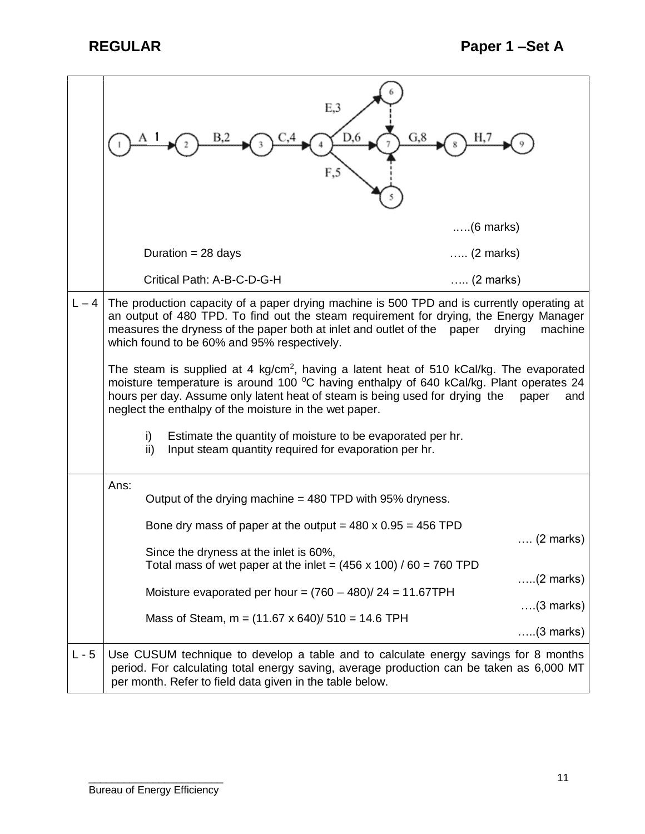|         | E,3<br>D,6<br>G, 8<br>F,5                                                                                                                                                                                                                                                                                                                         |                    |  |  |  |  |  |  |  |  |
|---------|---------------------------------------------------------------------------------------------------------------------------------------------------------------------------------------------------------------------------------------------------------------------------------------------------------------------------------------------------|--------------------|--|--|--|--|--|--|--|--|
|         |                                                                                                                                                                                                                                                                                                                                                   | $\ldots$ (6 marks) |  |  |  |  |  |  |  |  |
|         | Duration = $28$ days                                                                                                                                                                                                                                                                                                                              | $\ldots$ (2 marks) |  |  |  |  |  |  |  |  |
|         | Critical Path: A-B-C-D-G-H                                                                                                                                                                                                                                                                                                                        | $\ldots$ (2 marks) |  |  |  |  |  |  |  |  |
| $L - 4$ | The production capacity of a paper drying machine is 500 TPD and is currently operating at<br>an output of 480 TPD. To find out the steam requirement for drying, the Energy Manager<br>measures the dryness of the paper both at inlet and outlet of the paper<br>machine<br>drying<br>which found to be 60% and 95% respectively.               |                    |  |  |  |  |  |  |  |  |
|         | The steam is supplied at 4 kg/cm <sup>2</sup> , having a latent heat of 510 kCal/kg. The evaporated<br>moisture temperature is around 100 °C having enthalpy of 640 kCal/kg. Plant operates 24<br>hours per day. Assume only latent heat of steam is being used for drying the<br>paper<br>neglect the enthalpy of the moisture in the wet paper. |                    |  |  |  |  |  |  |  |  |
|         | Estimate the quantity of moisture to be evaporated per hr.<br>i)<br>Input steam quantity required for evaporation per hr.<br>ii)                                                                                                                                                                                                                  |                    |  |  |  |  |  |  |  |  |
|         | Ans:<br>Output of the drying machine $=$ 480 TPD with 95% dryness.                                                                                                                                                                                                                                                                                |                    |  |  |  |  |  |  |  |  |
|         | Bone dry mass of paper at the output = $480 \times 0.95 = 456$ TPD                                                                                                                                                                                                                                                                                | $\ldots$ (2 marks) |  |  |  |  |  |  |  |  |
|         | Since the dryness at the inlet is 60%,<br>Total mass of wet paper at the inlet = $(456 \times 100) / 60 = 760$ TPD                                                                                                                                                                                                                                |                    |  |  |  |  |  |  |  |  |
|         | Moisture evaporated per hour = $(760 - 480)/24 = 11.67$ TPH                                                                                                                                                                                                                                                                                       | $(2$ marks)        |  |  |  |  |  |  |  |  |
|         | Mass of Steam, $m = (11.67 \times 640)/510 = 14.6$ TPH                                                                                                                                                                                                                                                                                            | $\ldots$ (3 marks) |  |  |  |  |  |  |  |  |
|         |                                                                                                                                                                                                                                                                                                                                                   | $\ldots$ (3 marks) |  |  |  |  |  |  |  |  |
| $L - 5$ | Use CUSUM technique to develop a table and to calculate energy savings for 8 months<br>period. For calculating total energy saving, average production can be taken as 6,000 MT<br>per month. Refer to field data given in the table below.                                                                                                       |                    |  |  |  |  |  |  |  |  |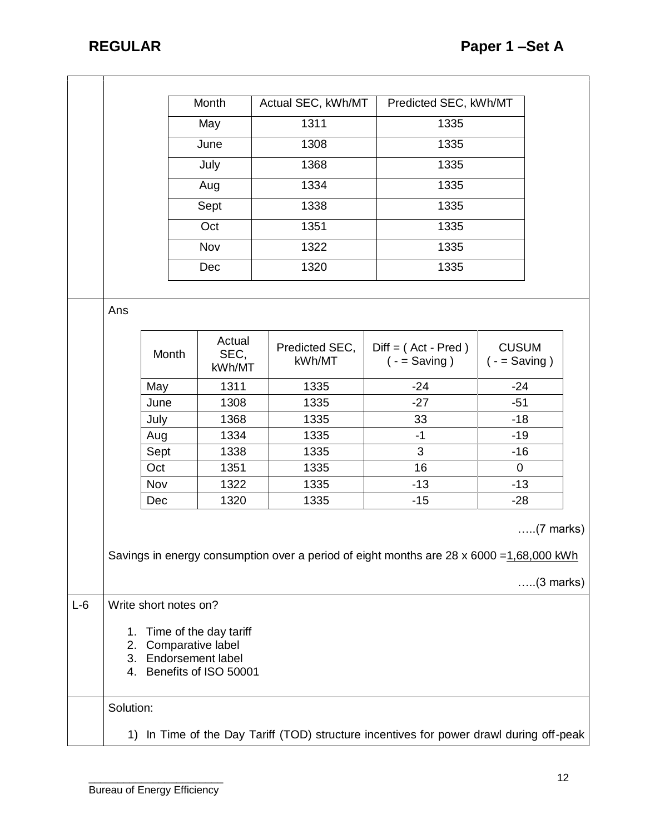|       |                                                                                                                                      |                     | Month |                          | Actual SEC, kWh/MT |                          | Predicted SEC, kWh/MT                    |       |                                 |       |  |
|-------|--------------------------------------------------------------------------------------------------------------------------------------|---------------------|-------|--------------------------|--------------------|--------------------------|------------------------------------------|-------|---------------------------------|-------|--|
|       |                                                                                                                                      |                     |       | May                      |                    | 1311                     |                                          | 1335  |                                 |       |  |
|       |                                                                                                                                      |                     | June  |                          | 1308               |                          | 1335                                     |       |                                 |       |  |
|       |                                                                                                                                      |                     | July  |                          | 1368               |                          | 1335                                     |       |                                 |       |  |
|       |                                                                                                                                      |                     | Aug   |                          | 1334               | 1335                     |                                          |       |                                 |       |  |
|       |                                                                                                                                      |                     | Sept  |                          | 1338               | 1335                     |                                          |       |                                 |       |  |
|       |                                                                                                                                      |                     | Oct   |                          | 1351               |                          | 1335                                     |       |                                 |       |  |
|       |                                                                                                                                      |                     | Nov   |                          | 1335<br>1322       |                          |                                          |       |                                 |       |  |
|       |                                                                                                                                      |                     |       |                          |                    |                          | 1335                                     |       |                                 |       |  |
|       |                                                                                                                                      |                     |       | Dec                      |                    | 1320                     |                                          |       |                                 |       |  |
|       |                                                                                                                                      |                     |       |                          |                    |                          |                                          |       |                                 |       |  |
|       | Ans                                                                                                                                  |                     |       |                          |                    |                          |                                          |       |                                 |       |  |
|       |                                                                                                                                      | Month               |       | Actual<br>SEC,<br>kWh/MT |                    | Predicted SEC,<br>kWh/MT | $Diff = (Act - Pred)$<br>$( -$ = Saving) |       | <b>CUSUM</b><br>$( -$ = Saving) |       |  |
|       |                                                                                                                                      | May<br>June<br>July |       | 1311                     |                    | 1335                     |                                          | $-24$ |                                 | $-24$ |  |
|       |                                                                                                                                      |                     |       | 1308                     |                    | 1335                     | $-27$                                    |       | $-51$                           |       |  |
|       |                                                                                                                                      |                     |       | 1368                     |                    | 1335                     | 33                                       |       | $-18$                           |       |  |
|       |                                                                                                                                      | Aug                 |       | 1334                     |                    | 1335                     | $-1$                                     |       | $-19$                           |       |  |
|       |                                                                                                                                      | Sept                |       | 1338                     |                    | 1335                     | 3                                        |       | $-16$                           |       |  |
|       |                                                                                                                                      | Oct                 |       | 1351                     |                    | 1335                     | 16                                       |       | 0                               |       |  |
|       |                                                                                                                                      | Nov                 |       | 1322                     |                    | 1335                     | $-13$                                    |       | $-13$                           |       |  |
|       |                                                                                                                                      | Dec                 |       | 1320                     |                    | 1335                     | $-15$                                    |       | $-28$                           |       |  |
|       | $\ldots$ (7 marks)<br>Savings in energy consumption over a period of eight months are 28 x 6000 = 1,68,000 kWh<br>$\ldots$ (3 marks) |                     |       |                          |                    |                          |                                          |       |                                 |       |  |
| $L-6$ | Write short notes on?                                                                                                                |                     |       |                          |                    |                          |                                          |       |                                 |       |  |
|       | Time of the day tariff<br>1.<br>Comparative label<br>2.<br>Endorsement label<br>3.<br>4. Benefits of ISO 50001                       |                     |       |                          |                    |                          |                                          |       |                                 |       |  |
|       | Solution:                                                                                                                            |                     |       |                          |                    |                          |                                          |       |                                 |       |  |
|       | 1) In Time of the Day Tariff (TOD) structure incentives for power drawl during off-peak                                              |                     |       |                          |                    |                          |                                          |       |                                 |       |  |